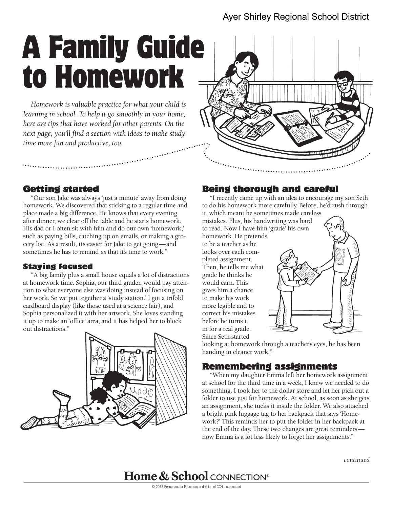# Ayer Shirley Regional School District

# A Family Guide to Homework

*Homework is valuable practice for what your child is learning in school. To help it go smoothly in your home, here are tips that have worked for other parents. On the next page, you'll find a section with ideas to make study time more fun and productive, too.* 



## Getting started

"Our son Jake was always 'just a minute' away from doing homework. We discovered that sticking to a regular time and place made a big difference. He knows that every evening after dinner, we clear off the table and he starts homework. His dad or I often sit with him and do our own 'homework,' such as paying bills, catching up on emails, or making a grocery list. As a result, it's easier for Jake to get going—and sometimes he has to remind *us* that it's time to work."

#### Staying focused

"A big family plus a small house equals a lot of distractions at homework time. Sophia, our third grader, would pay attention to what everyone else was doing instead of focusing on her work. So we put together a 'study station.' I got a trifold cardboard display (like those used at a science fair), and Sophia personalized it with her artwork. She loves standing it up to make an 'office' area, and it has helped her to block out distractions."



## Being thorough and careful

"I recently came up with an idea to encourage my son Seth to do his homework more carefully. Before, he'd rush through it, which meant he sometimes made careless

mistakes. Plus, his handwriting was hard to read. Now I have him 'grade' his own homework. He pretends to be a teacher as he

looks over each completed assignment. Then, he tells me what grade he thinks he would earn. This gives him a chance to make his work more legible and to correct his mistakes before he turns it in for a real grade. Since Seth started



looking at homework through a teacher's eyes, he has been handing in cleaner work."

## Remembering assignments

"When my daughter Emma left her homework assignment at school for the third time in a week, I knew we needed to do something. I took her to the dollar store and let her pick out a folder to use just for homework. At school, as soon as she gets an assignment, she tucks it inside the folder. We also attached a bright pink luggage tag to her backpack that says 'Homework?' This reminds her to put the folder in her backpack at the end of the day. These two changes are great reminders now Emma is a lot less likely to forget her assignments."

*continued* 

**Home & School CONNECTION®**